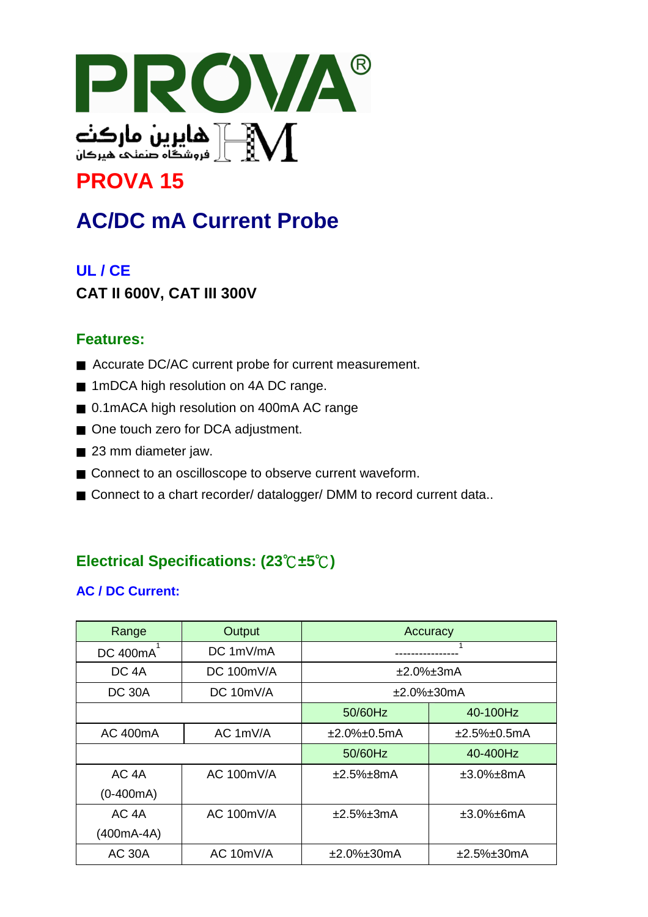

## **PROVA 15**

# **AC/DC mA Current Probe**

## **UL / CE**

## **CAT II 600V, CAT III 300V**

#### **Features:**

- Accurate DC/AC current probe for current measurement.
- 1mDCA high resolution on 4A DC range.
- 0.1mACA high resolution on 400mA AC range
- One touch zero for DCA adjustment.
- 23 mm diameter jaw.
- Connect to an oscilloscope to observe current waveform.
- Connect to a chart recorder/ datalogger/ DMM to record current data..

## **Electrical Specifications: (23**℃**±5**℃**)**

#### **AC / DC Current:**

| Range             | Output          | Accuracy       |                      |
|-------------------|-----------------|----------------|----------------------|
| DC 400mA          | DC~1mV/mA       |                |                      |
| DC <sub>4</sub> A | DC $100mV/A$    | ±2.0%±3mA      |                      |
| <b>DC 30A</b>     | DC 10mV/A       | $±2.0\%±30mA$  |                      |
|                   |                 | 50/60Hz        | 40-100Hz             |
| <b>AC 400mA</b>   | AC 1mV/A        | $±2.0\%±0.5mA$ | $±2.5\%±0.5mA$       |
|                   |                 | 50/60Hz        | 40-400Hz             |
| AC <sub>4</sub> A | $AC$ 100 $mV/A$ | $±2.5\%±8mA$   | $\pm 3.0\% \pm 8$ mA |
| $(0-400mA)$       |                 |                |                      |
| AC 4A             | $AC$ 100 $mV/A$ | $±2.5\%±3mA$   | $\pm 3.0\% \pm 6$ mA |
| (400mA-4A)        |                 |                |                      |
| <b>AC 30A</b>     | AC 10mV/A       | $±2.0\%±30mA$  | $±2.5\%±30mA$        |